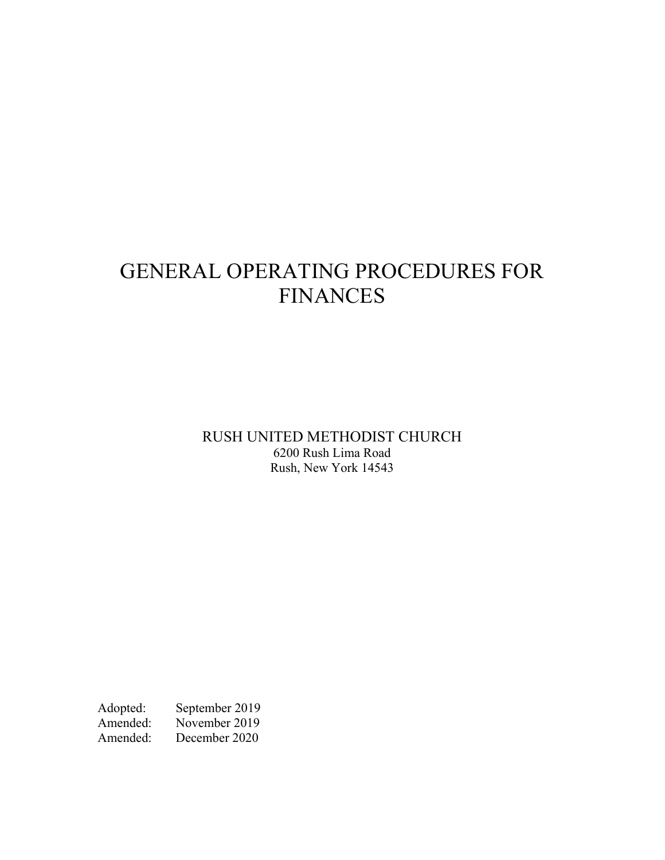# GENERAL OPERATING PROCEDURES FOR FINANCES

RUSH UNITED METHODIST CHURCH 6200 Rush Lima Road Rush, New York 14543

Adopted: September 2019<br>Amended: November 2019 November 2019 Amended: December 2020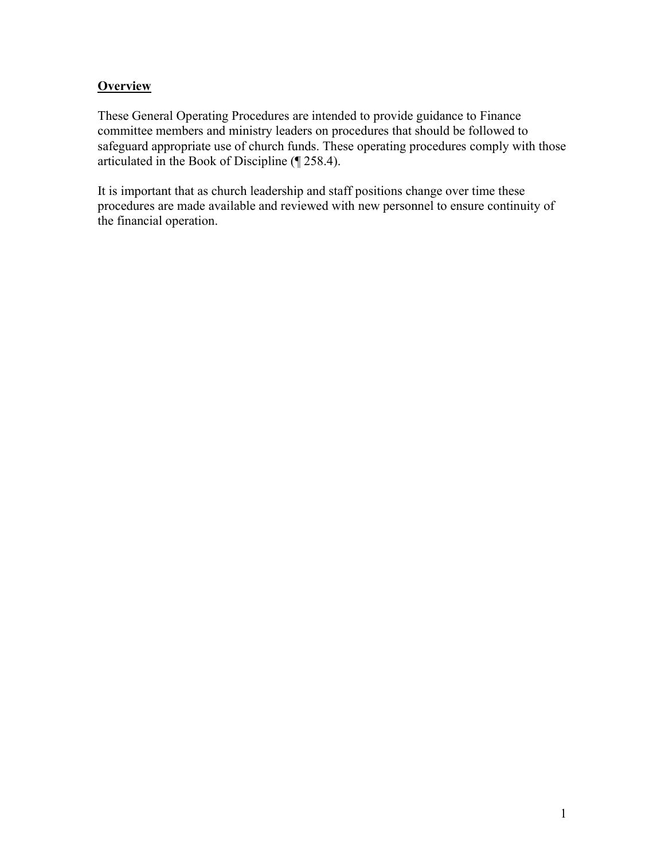## **Overview**

These General Operating Procedures are intended to provide guidance to Finance committee members and ministry leaders on procedures that should be followed to safeguard appropriate use of church funds. These operating procedures comply with those articulated in the Book of Discipline (¶ 258.4).

It is important that as church leadership and staff positions change over time these procedures are made available and reviewed with new personnel to ensure continuity of the financial operation.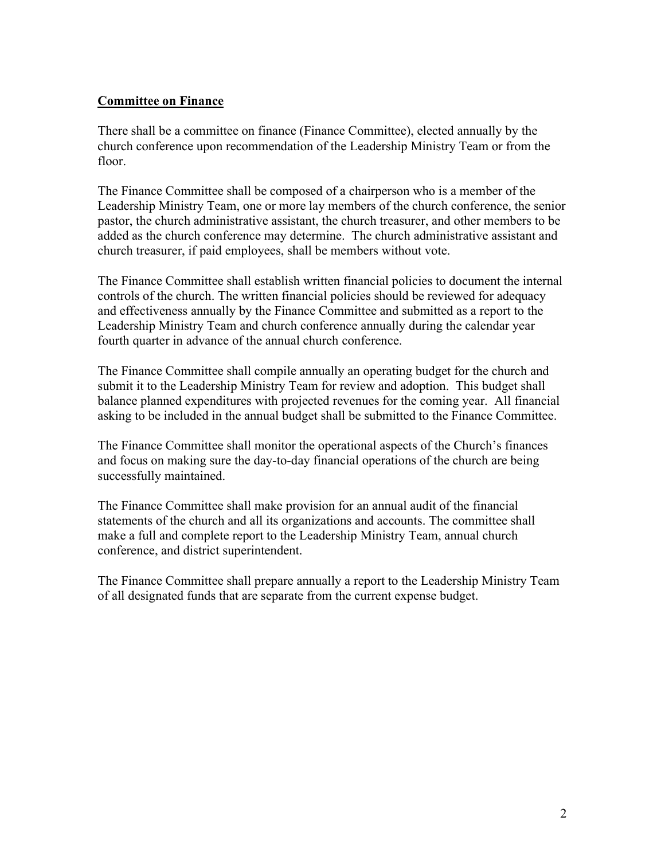## Committee on Finance

There shall be a committee on finance (Finance Committee), elected annually by the church conference upon recommendation of the Leadership Ministry Team or from the floor.

The Finance Committee shall be composed of a chairperson who is a member of the Leadership Ministry Team, one or more lay members of the church conference, the senior pastor, the church administrative assistant, the church treasurer, and other members to be added as the church conference may determine. The church administrative assistant and church treasurer, if paid employees, shall be members without vote.

The Finance Committee shall establish written financial policies to document the internal controls of the church. The written financial policies should be reviewed for adequacy and effectiveness annually by the Finance Committee and submitted as a report to the Leadership Ministry Team and church conference annually during the calendar year fourth quarter in advance of the annual church conference.

The Finance Committee shall compile annually an operating budget for the church and submit it to the Leadership Ministry Team for review and adoption. This budget shall balance planned expenditures with projected revenues for the coming year. All financial asking to be included in the annual budget shall be submitted to the Finance Committee.

The Finance Committee shall monitor the operational aspects of the Church's finances and focus on making sure the day-to-day financial operations of the church are being successfully maintained.

The Finance Committee shall make provision for an annual audit of the financial statements of the church and all its organizations and accounts. The committee shall make a full and complete report to the Leadership Ministry Team, annual church conference, and district superintendent.

The Finance Committee shall prepare annually a report to the Leadership Ministry Team of all designated funds that are separate from the current expense budget.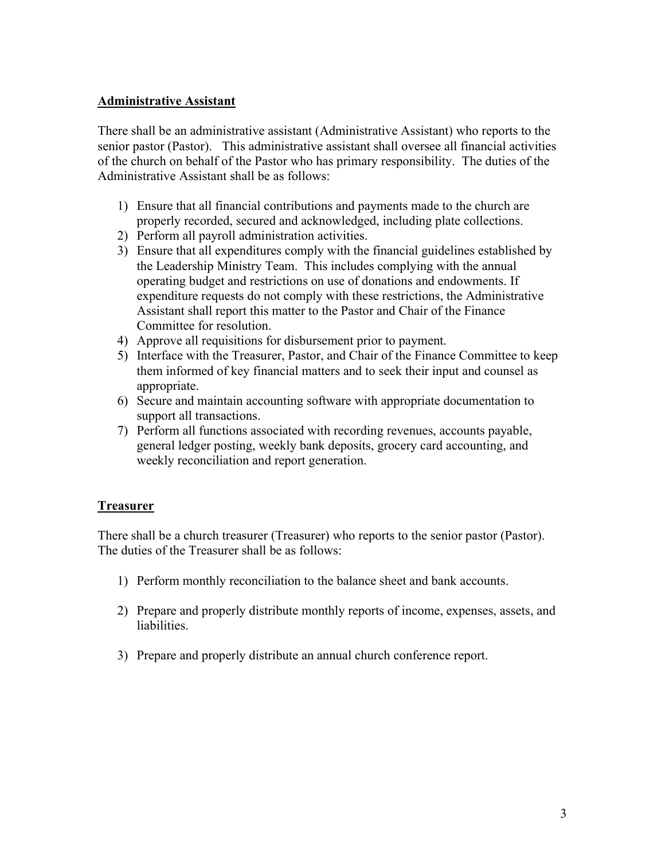#### Administrative Assistant

There shall be an administrative assistant (Administrative Assistant) who reports to the senior pastor (Pastor). This administrative assistant shall oversee all financial activities of the church on behalf of the Pastor who has primary responsibility. The duties of the Administrative Assistant shall be as follows:

- 1) Ensure that all financial contributions and payments made to the church are properly recorded, secured and acknowledged, including plate collections.
- 2) Perform all payroll administration activities.
- 3) Ensure that all expenditures comply with the financial guidelines established by the Leadership Ministry Team. This includes complying with the annual operating budget and restrictions on use of donations and endowments. If expenditure requests do not comply with these restrictions, the Administrative Assistant shall report this matter to the Pastor and Chair of the Finance Committee for resolution.
- 4) Approve all requisitions for disbursement prior to payment.
- 5) Interface with the Treasurer, Pastor, and Chair of the Finance Committee to keep them informed of key financial matters and to seek their input and counsel as appropriate.
- 6) Secure and maintain accounting software with appropriate documentation to support all transactions.
- 7) Perform all functions associated with recording revenues, accounts payable, general ledger posting, weekly bank deposits, grocery card accounting, and weekly reconciliation and report generation.

### **Treasurer**

There shall be a church treasurer (Treasurer) who reports to the senior pastor (Pastor). The duties of the Treasurer shall be as follows:

- 1) Perform monthly reconciliation to the balance sheet and bank accounts.
- 2) Prepare and properly distribute monthly reports of income, expenses, assets, and liabilities.
- 3) Prepare and properly distribute an annual church conference report.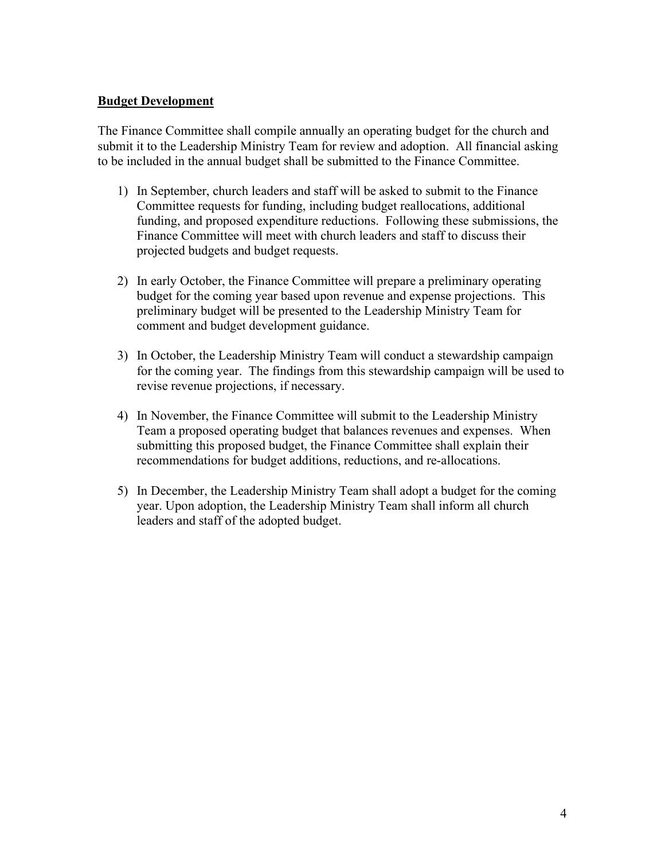#### Budget Development

The Finance Committee shall compile annually an operating budget for the church and submit it to the Leadership Ministry Team for review and adoption. All financial asking to be included in the annual budget shall be submitted to the Finance Committee.

- 1) In September, church leaders and staff will be asked to submit to the Finance Committee requests for funding, including budget reallocations, additional funding, and proposed expenditure reductions. Following these submissions, the Finance Committee will meet with church leaders and staff to discuss their projected budgets and budget requests.
- 2) In early October, the Finance Committee will prepare a preliminary operating budget for the coming year based upon revenue and expense projections. This preliminary budget will be presented to the Leadership Ministry Team for comment and budget development guidance.
- 3) In October, the Leadership Ministry Team will conduct a stewardship campaign for the coming year. The findings from this stewardship campaign will be used to revise revenue projections, if necessary.
- 4) In November, the Finance Committee will submit to the Leadership Ministry Team a proposed operating budget that balances revenues and expenses. When submitting this proposed budget, the Finance Committee shall explain their recommendations for budget additions, reductions, and re-allocations.
- 5) In December, the Leadership Ministry Team shall adopt a budget for the coming year. Upon adoption, the Leadership Ministry Team shall inform all church leaders and staff of the adopted budget.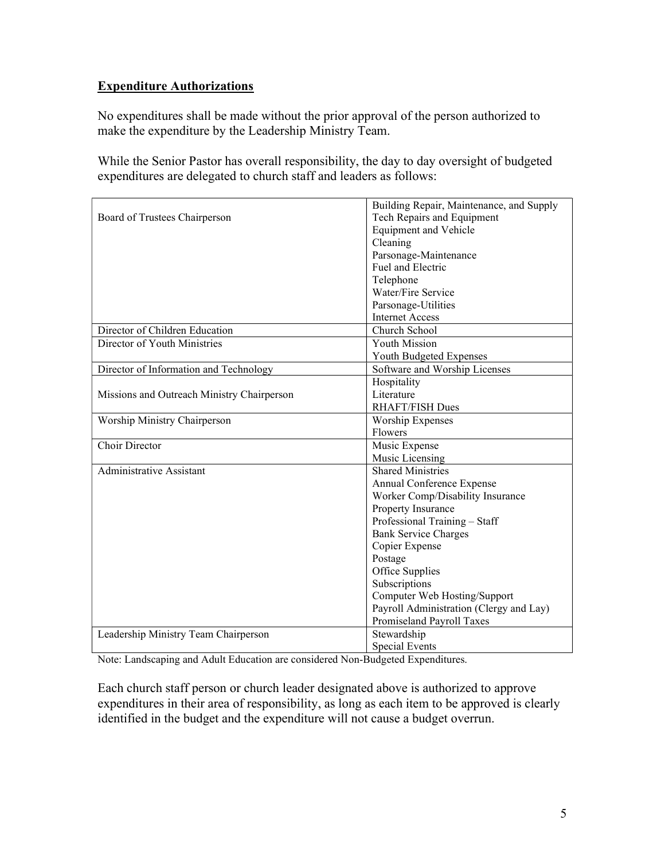## Expenditure Authorizations

No expenditures shall be made without the prior approval of the person authorized to make the expenditure by the Leadership Ministry Team.

While the Senior Pastor has overall responsibility, the day to day oversight of budgeted expenditures are delegated to church staff and leaders as follows:

|                                            | Building Repair, Maintenance, and Supply |
|--------------------------------------------|------------------------------------------|
| Board of Trustees Chairperson              | Tech Repairs and Equipment               |
|                                            | <b>Equipment and Vehicle</b>             |
|                                            | Cleaning                                 |
|                                            | Parsonage-Maintenance                    |
|                                            | Fuel and Electric                        |
|                                            | Telephone                                |
|                                            | Water/Fire Service                       |
|                                            | Parsonage-Utilities                      |
|                                            | <b>Internet Access</b>                   |
| Director of Children Education             | Church School                            |
| Director of Youth Ministries               | <b>Youth Mission</b>                     |
|                                            | Youth Budgeted Expenses                  |
| Director of Information and Technology     | Software and Worship Licenses            |
|                                            | Hospitality                              |
| Missions and Outreach Ministry Chairperson | Literature                               |
|                                            | RHAFT/FISH Dues                          |
| Worship Ministry Chairperson               | <b>Worship Expenses</b>                  |
|                                            | Flowers                                  |
| Choir Director                             | Music Expense                            |
|                                            | Music Licensing                          |
| <b>Administrative Assistant</b>            | <b>Shared Ministries</b>                 |
|                                            | Annual Conference Expense                |
|                                            | Worker Comp/Disability Insurance         |
|                                            | Property Insurance                       |
|                                            | Professional Training - Staff            |
|                                            | <b>Bank Service Charges</b>              |
|                                            | Copier Expense                           |
|                                            | Postage                                  |
|                                            | Office Supplies                          |
|                                            | Subscriptions                            |
|                                            | Computer Web Hosting/Support             |
|                                            | Payroll Administration (Clergy and Lay)  |
|                                            | Promiseland Payroll Taxes                |
| Leadership Ministry Team Chairperson       | Stewardship                              |
|                                            | <b>Special Events</b>                    |

Note: Landscaping and Adult Education are considered Non-Budgeted Expenditures.

Each church staff person or church leader designated above is authorized to approve expenditures in their area of responsibility, as long as each item to be approved is clearly identified in the budget and the expenditure will not cause a budget overrun.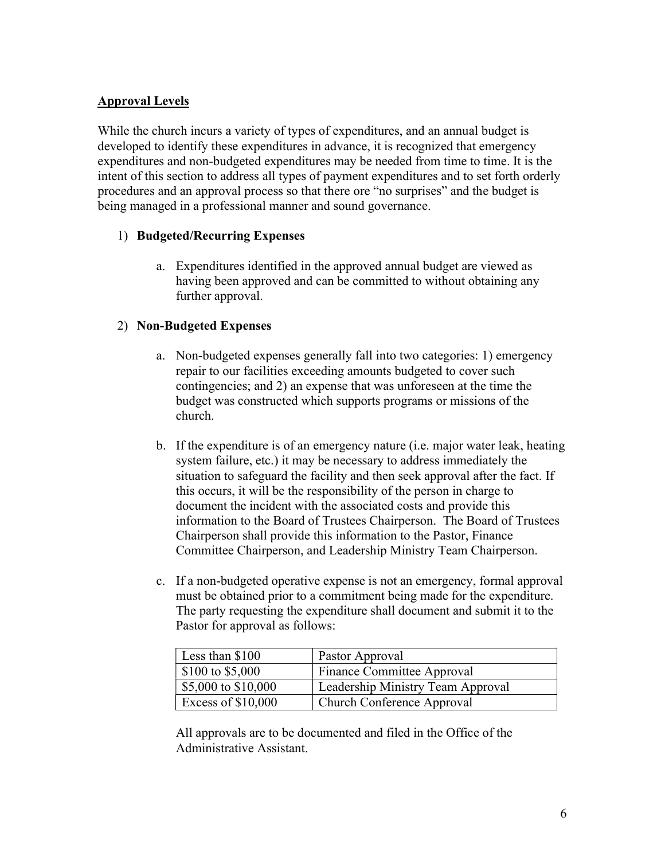## Approval Levels

While the church incurs a variety of types of expenditures, and an annual budget is developed to identify these expenditures in advance, it is recognized that emergency expenditures and non-budgeted expenditures may be needed from time to time. It is the intent of this section to address all types of payment expenditures and to set forth orderly procedures and an approval process so that there ore "no surprises" and the budget is being managed in a professional manner and sound governance.

### 1) Budgeted/Recurring Expenses

a. Expenditures identified in the approved annual budget are viewed as having been approved and can be committed to without obtaining any further approval.

#### 2) Non-Budgeted Expenses

- a. Non-budgeted expenses generally fall into two categories: 1) emergency repair to our facilities exceeding amounts budgeted to cover such contingencies; and 2) an expense that was unforeseen at the time the budget was constructed which supports programs or missions of the church.
- b. If the expenditure is of an emergency nature (i.e. major water leak, heating system failure, etc.) it may be necessary to address immediately the situation to safeguard the facility and then seek approval after the fact. If this occurs, it will be the responsibility of the person in charge to document the incident with the associated costs and provide this information to the Board of Trustees Chairperson. The Board of Trustees Chairperson shall provide this information to the Pastor, Finance Committee Chairperson, and Leadership Ministry Team Chairperson.
- c. If a non-budgeted operative expense is not an emergency, formal approval must be obtained prior to a commitment being made for the expenditure. The party requesting the expenditure shall document and submit it to the Pastor for approval as follows:

| Less than \$100     | Pastor Approval                   |
|---------------------|-----------------------------------|
| \$100 to \$5,000    | Finance Committee Approval        |
| \$5,000 to \$10,000 | Leadership Ministry Team Approval |
| Excess of \$10,000  | Church Conference Approval        |

All approvals are to be documented and filed in the Office of the Administrative Assistant.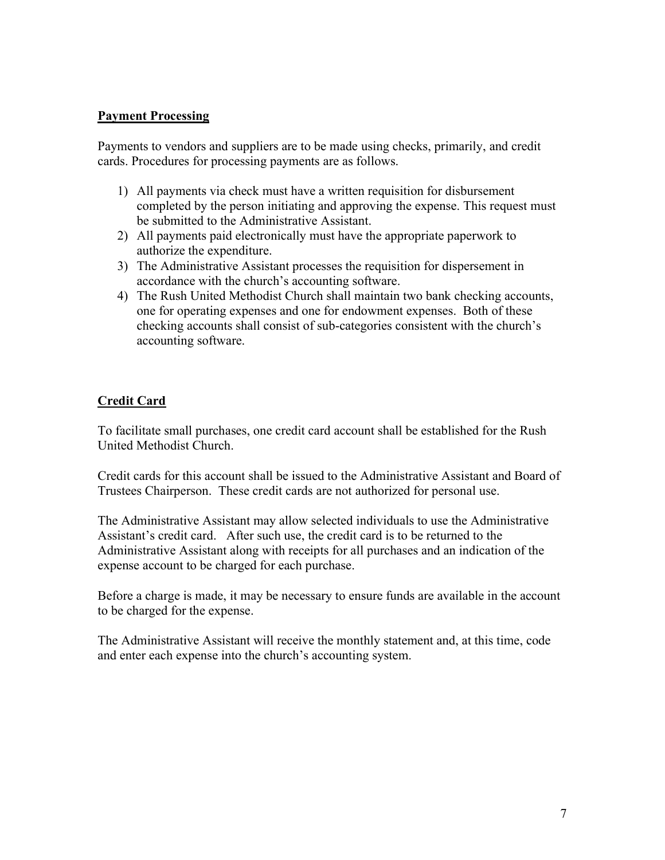#### Payment Processing

Payments to vendors and suppliers are to be made using checks, primarily, and credit cards. Procedures for processing payments are as follows.

- 1) All payments via check must have a written requisition for disbursement completed by the person initiating and approving the expense. This request must be submitted to the Administrative Assistant.
- 2) All payments paid electronically must have the appropriate paperwork to authorize the expenditure.
- 3) The Administrative Assistant processes the requisition for dispersement in accordance with the church's accounting software.
- 4) The Rush United Methodist Church shall maintain two bank checking accounts, one for operating expenses and one for endowment expenses. Both of these checking accounts shall consist of sub-categories consistent with the church's accounting software.

## Credit Card

To facilitate small purchases, one credit card account shall be established for the Rush United Methodist Church.

Credit cards for this account shall be issued to the Administrative Assistant and Board of Trustees Chairperson. These credit cards are not authorized for personal use.

The Administrative Assistant may allow selected individuals to use the Administrative Assistant's credit card. After such use, the credit card is to be returned to the Administrative Assistant along with receipts for all purchases and an indication of the expense account to be charged for each purchase.

Before a charge is made, it may be necessary to ensure funds are available in the account to be charged for the expense.

The Administrative Assistant will receive the monthly statement and, at this time, code and enter each expense into the church's accounting system.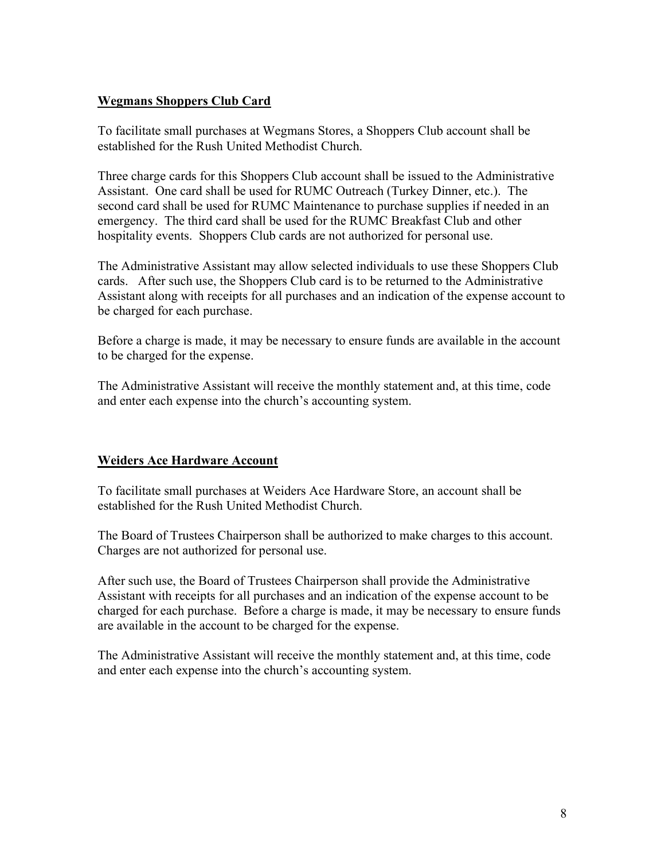#### Wegmans Shoppers Club Card

To facilitate small purchases at Wegmans Stores, a Shoppers Club account shall be established for the Rush United Methodist Church.

Three charge cards for this Shoppers Club account shall be issued to the Administrative Assistant. One card shall be used for RUMC Outreach (Turkey Dinner, etc.). The second card shall be used for RUMC Maintenance to purchase supplies if needed in an emergency. The third card shall be used for the RUMC Breakfast Club and other hospitality events. Shoppers Club cards are not authorized for personal use.

The Administrative Assistant may allow selected individuals to use these Shoppers Club cards. After such use, the Shoppers Club card is to be returned to the Administrative Assistant along with receipts for all purchases and an indication of the expense account to be charged for each purchase.

Before a charge is made, it may be necessary to ensure funds are available in the account to be charged for the expense.

The Administrative Assistant will receive the monthly statement and, at this time, code and enter each expense into the church's accounting system.

### Weiders Ace Hardware Account

To facilitate small purchases at Weiders Ace Hardware Store, an account shall be established for the Rush United Methodist Church.

The Board of Trustees Chairperson shall be authorized to make charges to this account. Charges are not authorized for personal use.

After such use, the Board of Trustees Chairperson shall provide the Administrative Assistant with receipts for all purchases and an indication of the expense account to be charged for each purchase. Before a charge is made, it may be necessary to ensure funds are available in the account to be charged for the expense.

The Administrative Assistant will receive the monthly statement and, at this time, code and enter each expense into the church's accounting system.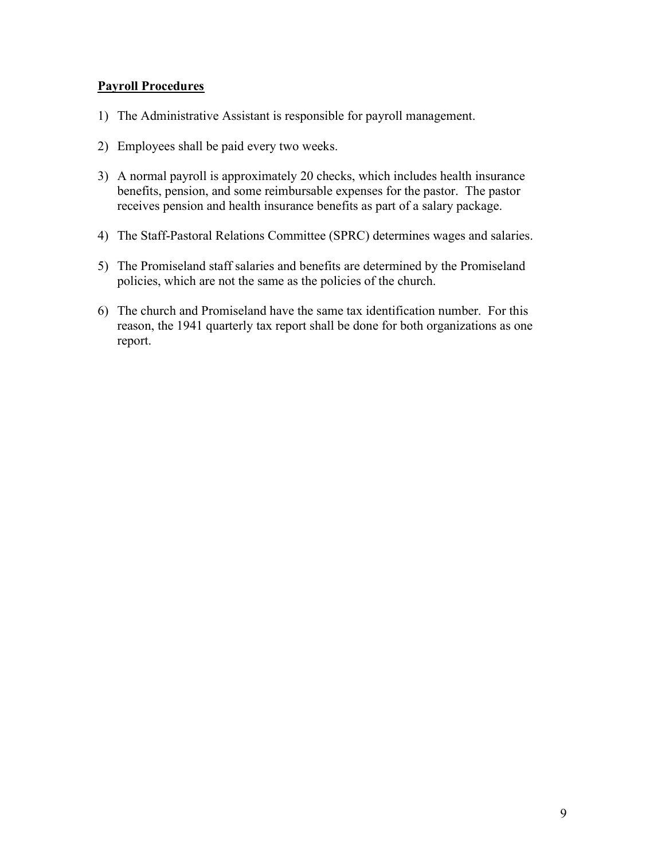#### Payroll Procedures

- 1) The Administrative Assistant is responsible for payroll management.
- 2) Employees shall be paid every two weeks.
- 3) A normal payroll is approximately 20 checks, which includes health insurance benefits, pension, and some reimbursable expenses for the pastor. The pastor receives pension and health insurance benefits as part of a salary package.
- 4) The Staff-Pastoral Relations Committee (SPRC) determines wages and salaries.
- 5) The Promiseland staff salaries and benefits are determined by the Promiseland policies, which are not the same as the policies of the church.
- 6) The church and Promiseland have the same tax identification number. For this reason, the 1941 quarterly tax report shall be done for both organizations as one report.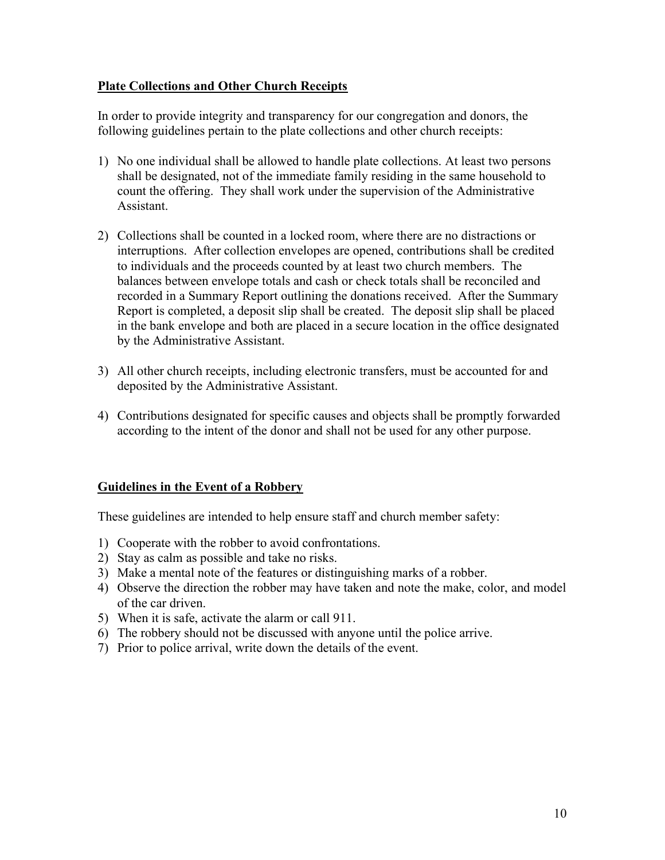### Plate Collections and Other Church Receipts

In order to provide integrity and transparency for our congregation and donors, the following guidelines pertain to the plate collections and other church receipts:

- 1) No one individual shall be allowed to handle plate collections. At least two persons shall be designated, not of the immediate family residing in the same household to count the offering. They shall work under the supervision of the Administrative Assistant.
- 2) Collections shall be counted in a locked room, where there are no distractions or interruptions. After collection envelopes are opened, contributions shall be credited to individuals and the proceeds counted by at least two church members. The balances between envelope totals and cash or check totals shall be reconciled and recorded in a Summary Report outlining the donations received. After the Summary Report is completed, a deposit slip shall be created. The deposit slip shall be placed in the bank envelope and both are placed in a secure location in the office designated by the Administrative Assistant.
- 3) All other church receipts, including electronic transfers, must be accounted for and deposited by the Administrative Assistant.
- 4) Contributions designated for specific causes and objects shall be promptly forwarded according to the intent of the donor and shall not be used for any other purpose.

### Guidelines in the Event of a Robbery

These guidelines are intended to help ensure staff and church member safety:

- 1) Cooperate with the robber to avoid confrontations.
- 2) Stay as calm as possible and take no risks.
- 3) Make a mental note of the features or distinguishing marks of a robber.
- 4) Observe the direction the robber may have taken and note the make, color, and model of the car driven.
- 5) When it is safe, activate the alarm or call 911.
- 6) The robbery should not be discussed with anyone until the police arrive.
- 7) Prior to police arrival, write down the details of the event.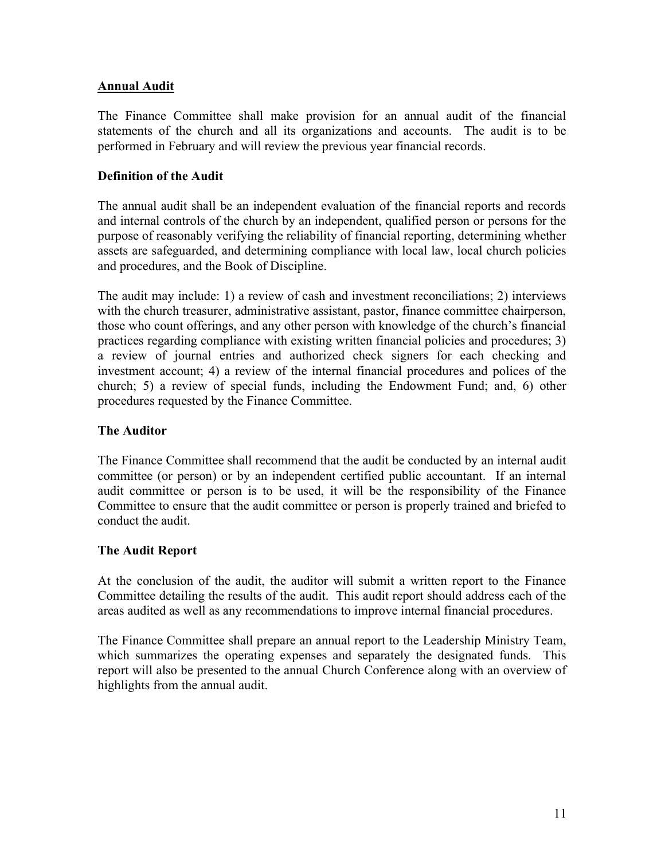### Annual Audit

The Finance Committee shall make provision for an annual audit of the financial statements of the church and all its organizations and accounts. The audit is to be performed in February and will review the previous year financial records.

## Definition of the Audit

The annual audit shall be an independent evaluation of the financial reports and records and internal controls of the church by an independent, qualified person or persons for the purpose of reasonably verifying the reliability of financial reporting, determining whether assets are safeguarded, and determining compliance with local law, local church policies and procedures, and the Book of Discipline.

The audit may include: 1) a review of cash and investment reconciliations; 2) interviews with the church treasurer, administrative assistant, pastor, finance committee chairperson, those who count offerings, and any other person with knowledge of the church's financial practices regarding compliance with existing written financial policies and procedures; 3) a review of journal entries and authorized check signers for each checking and investment account; 4) a review of the internal financial procedures and polices of the church; 5) a review of special funds, including the Endowment Fund; and, 6) other procedures requested by the Finance Committee.

### The Auditor

The Finance Committee shall recommend that the audit be conducted by an internal audit committee (or person) or by an independent certified public accountant. If an internal audit committee or person is to be used, it will be the responsibility of the Finance Committee to ensure that the audit committee or person is properly trained and briefed to conduct the audit.

### The Audit Report

At the conclusion of the audit, the auditor will submit a written report to the Finance Committee detailing the results of the audit. This audit report should address each of the areas audited as well as any recommendations to improve internal financial procedures.

The Finance Committee shall prepare an annual report to the Leadership Ministry Team, which summarizes the operating expenses and separately the designated funds. This report will also be presented to the annual Church Conference along with an overview of highlights from the annual audit.